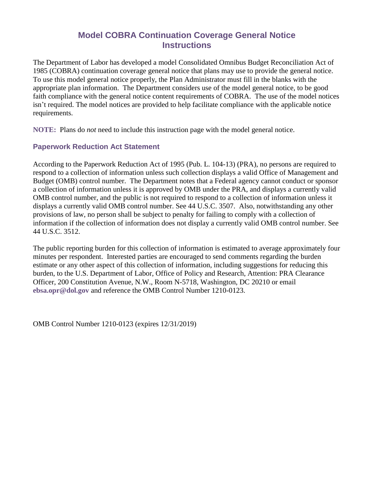# **Model COBRA Continuation Coverage General Notice Instructions**

The Department of Labor has developed a model Consolidated Omnibus Budget Reconciliation Act of 1985 (COBRA) continuation coverage general notice that plans may use to provide the general notice. To use this model general notice properly, the Plan Administrator must fill in the blanks with the appropriate plan information. The Department considers use of the model general notice, to be good faith compliance with the general notice content requirements of COBRA. The use of the model notices isn't required. The model notices are provided to help facilitate compliance with the applicable notice requirements.

**NOTE:** Plans do *not* need to include this instruction page with the model general notice.

### **Paperwork Reduction Act Statement**

According to the Paperwork Reduction Act of 1995 (Pub. L. 104-13) (PRA), no persons are required to respond to a collection of information unless such collection displays a valid Office of Management and Budget (OMB) control number. The Department notes that a Federal agency cannot conduct or sponsor a collection of information unless it is approved by OMB under the PRA, and displays a currently valid OMB control number, and the public is not required to respond to a collection of information unless it displays a currently valid OMB control number. See 44 U.S.C. 3507. Also, notwithstanding any other provisions of law, no person shall be subject to penalty for failing to comply with a collection of information if the collection of information does not display a currently valid OMB control number. See 44 U.S.C. 3512.

The public reporting burden for this collection of information is estimated to average approximately four minutes per respondent. Interested parties are encouraged to send comments regarding the burden estimate or any other aspect of this collection of information, including suggestions for reducing this burden, to the U.S. Department of Labor, Office of Policy and Research, Attention: PRA Clearance Officer, 200 Constitution Avenue, N.W., Room N-5718, Washington, DC 20210 or email **[ebsa.opr@dol.gov](mailto:ebsa.opr@dol.gov)** and reference the OMB Control Number 1210-0123.

OMB Control Number 1210-0123 (expires 12/31/2019)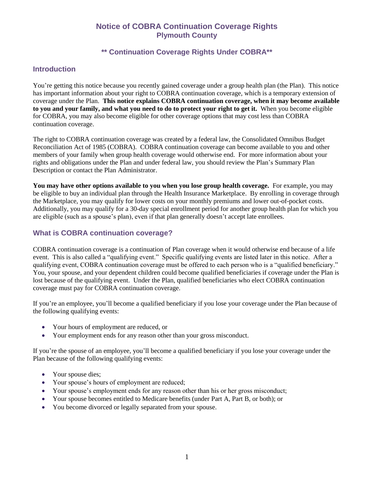## **Notice of COBRA Continuation Coverage Rights Plymouth County**

### **\*\* Continuation Coverage Rights Under COBRA\*\***

#### **Introduction**

You're getting this notice because you recently gained coverage under a group health plan (the Plan). This notice has important information about your right to COBRA continuation coverage, which is a temporary extension of coverage under the Plan. **This notice explains COBRA continuation coverage, when it may become available to you and your family, and what you need to do to protect your right to get it.** When you become eligible for COBRA, you may also become eligible for other coverage options that may cost less than COBRA continuation coverage.

The right to COBRA continuation coverage was created by a federal law, the Consolidated Omnibus Budget Reconciliation Act of 1985 (COBRA). COBRA continuation coverage can become available to you and other members of your family when group health coverage would otherwise end. For more information about your rights and obligations under the Plan and under federal law, you should review the Plan's Summary Plan Description or contact the Plan Administrator.

**You may have other options available to you when you lose group health coverage.** For example, you may be eligible to buy an individual plan through the Health Insurance Marketplace. By enrolling in coverage through the Marketplace, you may qualify for lower costs on your monthly premiums and lower out-of-pocket costs. Additionally, you may qualify for a 30-day special enrollment period for another group health plan for which you are eligible (such as a spouse's plan), even if that plan generally doesn't accept late enrollees.

### **What is COBRA continuation coverage?**

COBRA continuation coverage is a continuation of Plan coverage when it would otherwise end because of a life event. This is also called a "qualifying event." Specific qualifying events are listed later in this notice. After a qualifying event, COBRA continuation coverage must be offered to each person who is a "qualified beneficiary." You, your spouse, and your dependent children could become qualified beneficiaries if coverage under the Plan is lost because of the qualifying event. Under the Plan, qualified beneficiaries who elect COBRA continuation coverage must pay for COBRA continuation coverage.

If you're an employee, you'll become a qualified beneficiary if you lose your coverage under the Plan because of the following qualifying events:

- Your hours of employment are reduced, or
- Your employment ends for any reason other than your gross misconduct.

If you're the spouse of an employee, you'll become a qualified beneficiary if you lose your coverage under the Plan because of the following qualifying events:

- Your spouse dies;
- Your spouse's hours of employment are reduced;
- Your spouse's employment ends for any reason other than his or her gross misconduct;
- Your spouse becomes entitled to Medicare benefits (under Part A, Part B, or both); or
- You become divorced or legally separated from your spouse.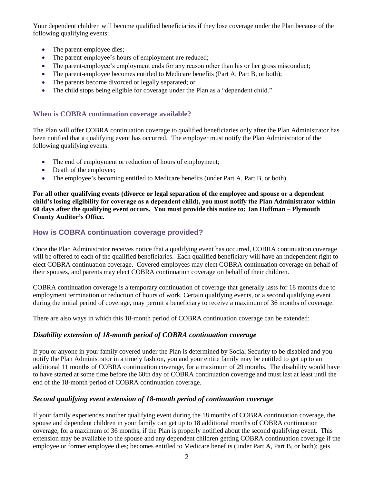Your dependent children will become qualified beneficiaries if they lose coverage under the Plan because of the following qualifying events:

- The parent-employee dies;
- The parent-employee's hours of employment are reduced;
- The parent-employee's employment ends for any reason other than his or her gross misconduct;
- The parent-employee becomes entitled to Medicare benefits (Part A, Part B, or both);
- The parents become divorced or legally separated; or
- The child stops being eligible for coverage under the Plan as a "dependent child."

#### **When is COBRA continuation coverage available?**

The Plan will offer COBRA continuation coverage to qualified beneficiaries only after the Plan Administrator has been notified that a qualifying event has occurred. The employer must notify the Plan Administrator of the following qualifying events:

- The end of employment or reduction of hours of employment;
- Death of the employee;
- The employee's becoming entitled to Medicare benefits (under Part A, Part B, or both).

**For all other qualifying events (divorce or legal separation of the employee and spouse or a dependent child's losing eligibility for coverage as a dependent child), you must notify the Plan Administrator within 60 days after the qualifying event occurs. You must provide this notice to: Jan Hoffman – Plymouth County Auditor's Office.**

### **How is COBRA continuation coverage provided?**

Once the Plan Administrator receives notice that a qualifying event has occurred, COBRA continuation coverage will be offered to each of the qualified beneficiaries. Each qualified beneficiary will have an independent right to elect COBRA continuation coverage. Covered employees may elect COBRA continuation coverage on behalf of their spouses, and parents may elect COBRA continuation coverage on behalf of their children.

COBRA continuation coverage is a temporary continuation of coverage that generally lasts for 18 months due to employment termination or reduction of hours of work. Certain qualifying events, or a second qualifying event during the initial period of coverage, may permit a beneficiary to receive a maximum of 36 months of coverage.

There are also ways in which this 18-month period of COBRA continuation coverage can be extended:

#### *Disability extension of 18-month period of COBRA continuation coverage*

If you or anyone in your family covered under the Plan is determined by Social Security to be disabled and you notify the Plan Administrator in a timely fashion, you and your entire family may be entitled to get up to an additional 11 months of COBRA continuation coverage, for a maximum of 29 months. The disability would have to have started at some time before the 60th day of COBRA continuation coverage and must last at least until the end of the 18-month period of COBRA continuation coverage.

#### *Second qualifying event extension of 18-month period of continuation coverage*

If your family experiences another qualifying event during the 18 months of COBRA continuation coverage, the spouse and dependent children in your family can get up to 18 additional months of COBRA continuation coverage, for a maximum of 36 months, if the Plan is properly notified about the second qualifying event. This extension may be available to the spouse and any dependent children getting COBRA continuation coverage if the employee or former employee dies; becomes entitled to Medicare benefits (under Part A, Part B, or both); gets